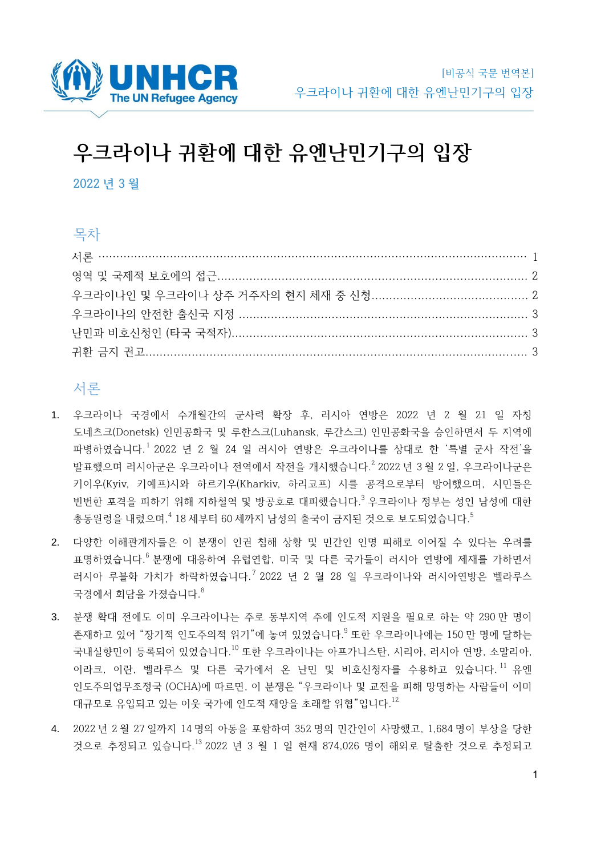

# **우크라이나 귀환에 대한 유엔난민기구의 입장**

**2022 년 3 월**

# 목차

## 서론

- 1. 우크라이나 국경에서 수개월간의 군사력 확장 후, 러시아 연방은 2022 년 2 월 21 일 자칭 도네츠크(Donetsk) 인민공화국 및 루한스크(Luhansk, 루간스크) 인민공화국을 승인하면서 두 지역에 파병하였습니다. 1 2022 년 2 월 24 일 러시아 연방은 우크라이나를 상대로 한 '특별 군사 작전'을 발표했으며 러시아군은 우크라이나 전역에서 작전을 개시했습니다.<sup>2</sup> 2022 년 3 월 2 일, 우크라이나군은 키이우(Kyiv, 키예프)시와 하르키우(Kharkiv, 하리코프) 시를 공격으로부터 방어했으며, 시민들은 빈번한 포격을 피하기 위해 지하철역 및 방공호로 대피했습니다.<sup>3</sup> 우크라이나 정부는 성인 남성에 대한 총동원령을 내렸으며, 4 18 세부터 60 세까지 남성의 출국이 금지된 것으로 보도되었습니다. 5
- 2. 다양한 이해관계자들은 이 분쟁이 인권 침해 상황 및 민간인 인명 피해로 이어질 수 있다는 우려를 표명하였습니다. <sup>6</sup> 분쟁에 대응하여 유럽연합, 미국 및 다른 국가들이 러시아 연방에 제재를 가하면서 러시아 루블화 가치가 하락하였습니다.<sup>7</sup> 2022 년 2 월 28 일 우크라이나와 러시아연방은 벨라루스 국경에서 회담을 가졌습니다. $^8$
- 3. 분쟁 확대 전에도 이미 우크라이나는 주로 동부지역 주에 인도적 지원을 필요로 하는 약 290 만 명이 존재하고 있어 "장기적 인도주의적 위기"에 놓여 있었습니다.<sup>9</sup> 또한 우크라이나에는 150 만 명에 달하는 국내실향민이 등록되어 있었습니다. <sup>10</sup> 또한 우크라이나는 아프가니스탄, 시리아, 러시아 연방, 소말리아, 이라크, 이란, 벨라루스 및 다른 국가에서 온 난민 및 비호신청자를 수용하고 있습니다.<sup>11</sup> 유엔 인도주의업무조정국 (OCHA)에 따르면, 이 분쟁은 "우크라이나 및 교전을 피해 망명하는 사람들이 이미 대규모로 유입되고 있는 이웃 국가에 인도적 재앙을 초래할 위협"입니다. 12
- 4. 2022 년 2 월 27 일까지 14 명의 아동을 포함하여 352 명의 민간인이 사망했고, 1,684 명이 부상을 당한 것으로 추정되고 있습니다. <sup>13</sup> 2022 년 3 월 1 일 현재 874,026 명이 해외로 탈출한 것으로 추정되고

1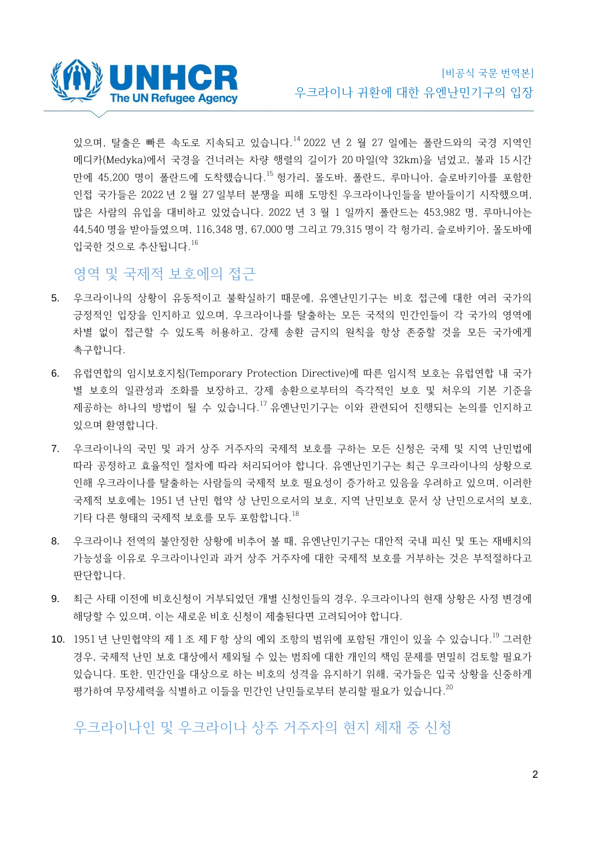

있으며, 탈출은 빠른 속도로 지속되고 있습니다.<sup>14</sup> 2022 년 2 월 27 일에는 폴란드와의 국경 지역인 메디카(Medyka)에서 국경을 건너려는 차량 행렬의 길이가 20 마일(약 32km)을 넘었고, 불과 15 시간 만에 45,200 명이 폴란드에 도착했습니다.<sup>15</sup> 헝가리, 몰도바, 폴란드, 루마니아, 슬로바키아를 포함한 인접 국가들은 2022 년 2 월 27 일부터 분쟁을 피해 도망친 우크라이나인들을 받아들이기 시작했으며, 많은 사람의 유입을 대비하고 있었습니다. 2022 년 3 월 1 일까지 폴란드는 453,982 명, 루마니아는 44,540 명을 받아들였으며, 116,348 명, 67,000 명 그리고 79,315 명이 각 헝가리, 슬로바키아, 몰도바에 입국한 것으로 추산됩니다. 16

#### 영역 및 국제적 보호에의 접근

- 5. 우크라이나의 상황이 유동적이고 불확실하기 때문에, 유엔난민기구는 비호 접근에 대한 여러 국가의 긍정적인 입장을 인지하고 있으며, 우크라이나를 탈출하는 모든 국적의 민간인들이 각 국가의 영역에 차별 없이 접근할 수 있도록 허용하고, 강제 송환 금지의 원칙을 항상 존중할 것을 모든 국가에게 촉구합니다.
- 6. 유럽연합의 임시보호지침(Temporary Protection Directive)에 따른 임시적 보호는 유럽연합 내 국가 별 보호의 일관성과 조화를 보장하고, 강제 송환으로부터의 즉각적인 보호 및 처우의 기본 기준을 제공하는 하나의 방법이 될 수 있습니다.<sup>17</sup> 유엔난민기구는 이와 관련되어 진행되는 논의를 인지하고 있으며 환영합니다.
- 7. 우크라이나의 국민 및 과거 상주 거주자의 국제적 보호를 구하는 모든 신청은 국제 및 지역 난민법에 따라 공정하고 효율적인 절차에 따라 처리되어야 합니다. 유엔난민기구는 최근 우크라이나의 상황으로 인해 우크라이나를 탈출하는 사람들의 국제적 보호 필요성이 증가하고 있음을 우려하고 있으며, 이러한 국제적 보호에는 1951 년 난민 협약 상 난민으로서의 보호, 지역 난민보호 문서 상 난민으로서의 보호, 기타 다른 형태의 국제적 보호를 모두 포함합니다. 18
- 8. 우크라이나 전역의 불안정한 상황에 비추어 볼 때, 유엔난민기구는 대안적 국내 피신 및 또는 재배치의 가능성을 이유로 우크라이나인과 과거 상주 거주자에 대한 국제적 보호를 거부하는 것은 부적절하다고 판단합니다.
- 9. 최근 사태 이전에 비호신청이 거부되었던 개별 신청인들의 경우, 우크라이나의 현재 상황은 사정 변경에 해당할 수 있으며, 이는 새로운 비호 신청이 제출된다면 고려되어야 합니다.
- 10. 1951 년 난민협약의 제 1 조 제 F 항 상의 예외 조항의 범위에 포함된 개인이 있을 수 있습니다.<sup>19</sup> 그러한 경우, 국제적 난민 보호 대상에서 제외될 수 있는 범죄에 대한 개인의 책임 문제를 면밀히 검토할 필요가 있습니다. 또한, 민간인을 대상으로 하는 비호의 성격을 유지하기 위해, 국가들은 입국 상황을 신중하게 평가하여 무장세력을 식별하고 이들을 민간인 난민들로부터 분리할 필요가 있습니다.<sup>20</sup>

# 우크라이나인 및 우크라이나 상주 거주자의 현지 체재 중 신청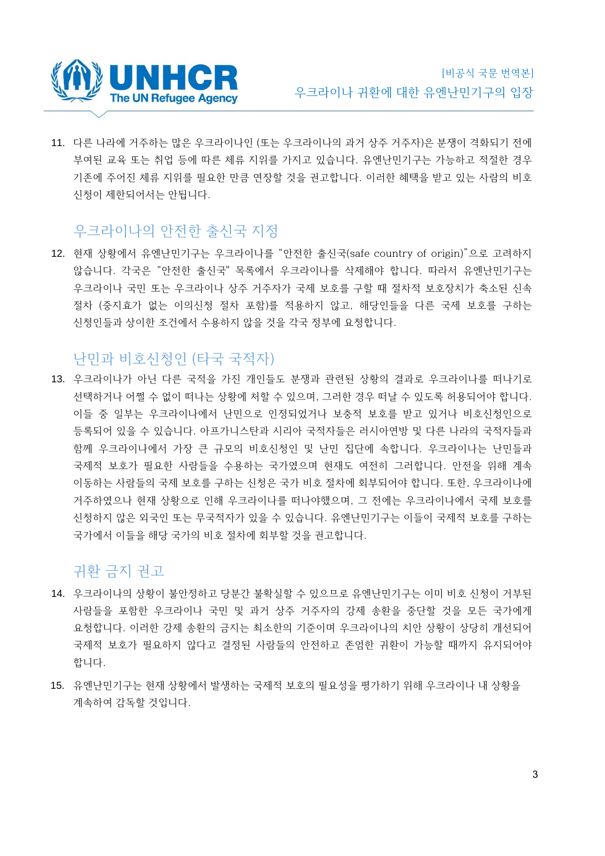

11. 다른 나라에 거주하는 많은 우크라이나인 (또는 우크라이나의 과거 상주 거주자)은 분쟁이 격화되기 전에 부여된 교육 또는 취업 등에 따른 체류 지위를 가지고 있습니다. 유엔난민기구는 가능하고 적절한 경우 기존에 주어진 체류 지위를 필요한 만큼 연장할 것을 권고합니다. 이러한 혜택을 받고 있는 사람의 비호 신청이 제한되어서는 안됩니다.

## 우크라이나의 안전한 출신국 지정

12. 현재 상황에서 유엔난민기구는 우크라이나를 "안전한 출신국(safe country of origin)"으로 고려하지 않습니다. 각국은 "안전한 출신국" 목록에서 우크라이나를 삭제해야 합니다. 따라서 유엔난민기구는 우크라이나 국민 또는 우크라이나 상주 거주자가 국제 보호를 구할 때 절차적 보호장치가 축소된 신속 절차 (중지효가 없는 이의신청 절차 포함)를 적용하지 않고, 해당인들을 다른 국제 보호를 구하는 신청인들과 상이한 조건에서 수용하지 않을 것을 각국 정부에 요청합니다.

### 난민과 비호신청인 (타국 국적자)

13. 우크라이나가 아닌 다른 국적을 가진 개인들도 분쟁과 관련된 상황의 결과로 우크라이나를 떠나기로 선택하거나 어쩔 수 없이 떠나는 상황에 처할 수 있으며, 그러한 경우 떠날 수 있도록 허용되어야 합니다. 이들 중 일부는 우크라이나에서 난민으로 인정되었거나 보충적 보호를 받고 있거나 비호신청인으로 등록되어 있을 수 있습니다. 아프가니스탄과 시리아 국적자들은 러시아연방 및 다른 나라의 국적자들과 함께 우크라이나에서 가장 큰 규모의 비호신청인 및 난민 집단에 속합니다. 우크라이나는 난민들과 국제적 보호가 필요한 사람들을 수용하는 국가였으며 현재도 여전히 그러합니다. 안전을 위해 계속 이동하는 사람들의 국제 보호를 구하는 신청은 국가 비호 절차에 회부되어야 합니다. 또한, 우크라이나에 거주하였으나 현재 상황으로 인해 우크라이나를 떠나야했으며, 그 전에는 우크라이나에서 국제 보호를 신청하지 않은 외국인 또는 무국적자가 있을 수 있습니다. 유엔난민기구는 이들이 국제적 보호를 구하는 국가에서 이들을 해당 국가의 비호 절차에 회부할 것을 권고합니다.

### 귀환 금지 권고

- 14. 우크라이나의 상황이 불안정하고 당분간 불확실할 수 있으므로 유엔난민기구는 이미 비호 신청이 거부된 사람들을 포함한 우크라이나 국민 및 과거 상주 거주자의 강제 송환을 중단할 것을 모든 국가에게 요청합니다. 이러한 강제 송환의 금지는 최소한의 기준이며 우크라이나의 치안 상황이 상당히 개선되어 국제적 보호가 필요하지 않다고 결정된 사람들의 안전하고 존엄한 귀환이 가능할 때까지 유지되어야 합니다.
- 15. 유엔난민기구는 현재 상황에서 발생하는 국제적 보호의 필요성을 평가하기 위해 우크라이나 내 상황을 계속하여 감독할 것입니다.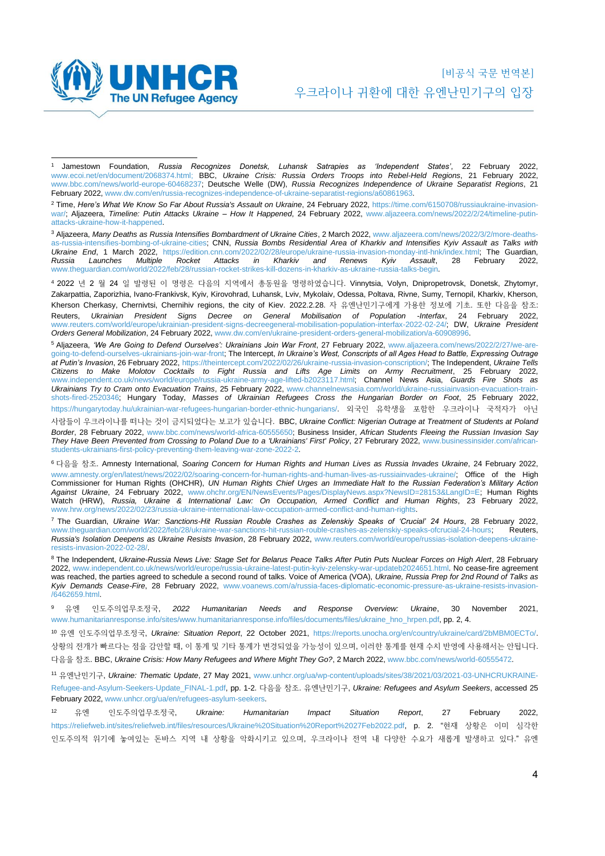

<sup>1</sup> Jamestown Foundation, *Russia Recognizes Donetsk, Luhansk Satrapies as 'Independent States'*, 22 February 2022, [www.ecoi.net/en/document/2068374.html; B](http://www.ecoi.net/en/document/2068374.html)BC, *Ukraine Crisis: Russia Orders Troops into Rebel-Held Regions*, 21 February 2022, [www.bbc.com/news/world-europe-60468237; D](http://www.bbc.com/news/world-europe-60468237)eutsche Welle (DW), *Russia Recognizes Independence of Ukraine Separatist Regions*, 21 February 2022[, www.dw.com/en/russia-recognizes-independence-of-ukraine-separatist-regions/a60861963.](http://www.dw.com/en/russia-recognizes-independence-of-ukraine-separatist-regions/a-60861963)

<sup>2</sup> Time, *Here's What We Know So Far About Russia's Assault on Ukraine*, 24 February 2022, [https://time.com/6150708/russiaukraine-invasion](https://time.com/6150708/russia-ukraine-invasion-war/)[war/; A](https://time.com/6150708/russia-ukraine-invasion-war/)ljazeera, *Timeline: Putin Attacks Ukraine – How It Happened*, 24 February 2022, [www.aljazeera.com/news/2022/2/24/timeline-putin](http://www.aljazeera.com/news/2022/2/24/timeline-putin-attacks-ukraine-how-it-happened)[attacks-ukraine-how-it-happened.](http://www.aljazeera.com/news/2022/2/24/timeline-putin-attacks-ukraine-how-it-happened)

<sup>3</sup> Aljazeera, *Many Deaths as Russia Intensifies Bombardment of Ukraine Cities*, 2 March 2022[, www.aljazeera.com/news/2022/3/2/more-deaths](http://www.aljazeera.com/news/2022/3/2/more-deaths-as-russia-intensifies-bombing-of-ukraine-cities)[as-russia-intensifies-bombing-of-ukraine-cities; C](http://www.aljazeera.com/news/2022/3/2/more-deaths-as-russia-intensifies-bombing-of-ukraine-cities)NN, *Russia Bombs Residential Area of Kharkiv and Intensifies Kyiv Assault as Talks with Ukraine End*, 1 March 2022, [https://edition.cnn.com/2022/02/28/europe/ukraine-russia-invasion-monday-intl-hnk/index.html; T](https://edition.cnn.com/2022/02/28/europe/ukraine-russia-invasion-monday-intl-hnk/index.html)he Guardian, *Russia Launches Multiple Rocket Attacks in Kharkiv and Renews Kyiv Assault*, 28 February 2022, [www.theguardian.com/world/2022/feb/28/russian-rocket-strikes-kill-dozens-in-kharkiv-as-ukraine-russia-talks-begin.](http://www.theguardian.com/world/2022/feb/28/russian-rocket-strikes-kill-dozens-in-kharkiv-as-ukraine-russia-talks-begin)

<sup>4</sup> 2022 년 2 월 24 일 발령된 이 명령은 다음의 지역에서 총동원을 명령하였습니다. Vinnytsia, Volyn, Dnipropetrovsk, Donetsk, Zhytomyr, Zakarpattia, Zaporizhia, Ivano-Frankivsk, Kyiv, Kirovohrad, Luhansk, Lviv, Mykolaiv, Odessa, Poltava, Rivne, Sumy, Ternopil, Kharkiv, Kherson, Kherson Cherkasy, Chernivtsi, Chernihiv regions, the city of Kiev. 2022.2.28. 자 유엔난민기구에게 가용한 정보에 기초. 또한 다음을 참조: Reuters, *Ukrainian President Signs Decree on General Mobilisation of Population -Interfax*, 24 February 2022, [www.reuters.com/world/europe/ukrainian-president-signs-decreegeneral-mobilisation-population-interfax-2022-02-24/; D](http://www.reuters.com/world/europe/ukrainian-president-signs-decree-general-mobilisation-population-interfax-2022-02-24/)W, *Ukraine President Orders General Mobilization*, 24 February 2022[, www.dw.com/en/ukraine-president-orders-general-mobilization/a-60908996.](http://www.dw.com/en/ukraine-president-orders-general-mobilization/a-60908996)

<sup>5</sup> Aljazeera, *'We Are Going to Defend Ourselves': Ukrainians Join War Front*, 27 February 2022, [www.aljazeera.com/news/2022/2/27/we-are](http://www.aljazeera.com/news/2022/2/27/we-are-going-to-defend-ourselves-ukrainians-join-war-front)[going-to-defend-ourselves-ukrainians-join-war-front; T](http://www.aljazeera.com/news/2022/2/27/we-are-going-to-defend-ourselves-ukrainians-join-war-front)he Intercept, *In Ukraine's West, Conscripts of all Ages Head to Battle, Expressing Outrage at Putin's Invasion*, 26 February 2022[, https://theintercept.com/2022/02/26/ukraine-russia-invasion-conscription/; T](https://theintercept.com/2022/02/26/ukraine-russia-invasion-conscription/)he Independent, *Ukraine Tells Citizens to Make Molotov Cocktails to Fight Russia and Lifts Age Limits on Army Recruitment*, 25 February 2022, [www.independent.co.uk/news/world/europe/russia-ukraine-army-age-lifted-b2023117.html; C](http://www.independent.co.uk/news/world/europe/russia-ukraine-army-age-lifted-b2023117.html)hannel News Asia, *Guards Fire Shots as Ukrainians Try to Cram onto Evacuation Trains*, 25 February 2022, [www.channelnewsasia.com/world/ukraine-russiainvasion-evacuation-train](http://www.channelnewsasia.com/world/ukraine-russia-invasion-evacuation-train-shots-fired-2520346)[shots-fired-2520346; H](http://www.channelnewsasia.com/world/ukraine-russia-invasion-evacuation-train-shots-fired-2520346)ungary Today, *Masses of Ukrainian Refugees Cross the Hungarian Border on Foot*, 25 February 202[2,](https://hungarytoday.hu/ukrainian-war-refugees-hungarian-border-ethnic-hungarians/)  [https://hungarytoday.hu/ukrainian-war-refugees-hungarian-border-ethnic-hungarians/.](https://hungarytoday.hu/ukrainian-war-refugees-hungarian-border-ethnic-hungarians/) 외국인 유학생을 포함한 우크라이나 국적자가 아닌

사람들이 우크라이나를 떠나는 것이 금지되었다는 보고가 있습니다. BBC, *Ukraine Conflict: Nigerian Outrage at Treatment of Students at Poland Border*, 28 February 2022, [www.bbc.com/news/world-africa-60555650; B](http://www.bbc.com/news/world-africa-60555650)usiness Insider, *African Students Fleeing the Russian Invasion Say They Have Been Prevented from Crossing to Poland Due to a 'Ukrainians' First' Policy*, 27 Februrary 2022, [www.businessinsider.com/african](http://www.businessinsider.com/african-students-ukrainians-first-policy-preventing-them-leaving-war-zone-2022-2?amp;IR=T&r=US&IR=T)[students-ukrainians-first-policy-preventing-them-leaving-war-zone-2022-2.](http://www.businessinsider.com/african-students-ukrainians-first-policy-preventing-them-leaving-war-zone-2022-2?amp;IR=T&r=US&IR=T)

<sup>6</sup> 다음을 참조. Amnesty International, *Soaring Concern for Human Rights and Human Lives as Russia Invades Ukraine*, 24 February 2022, [www.amnesty.org/en/latest/news/2022/02/soaring-concern-for-human-rights-and-human-lives-as-russiainvades-ukraine/; O](http://www.amnesty.org/en/latest/news/2022/02/soaring-concern-for-human-rights-and-human-lives-as-russia-invades-ukraine/)ffice of the High Commissioner for Human Rights (OHCHR), *UN Human Rights Chief Urges an Immediate Halt to the Russian Federation's Military Action Against Ukraine*, 24 February 2022, [www.ohchr.org/EN/NewsEvents/Pages/DisplayNews.aspx?NewsID=28153&LangID=E; H](http://www.ohchr.org/EN/NewsEvents/Pages/DisplayNews.aspx?NewsID=28153&LangID=E)uman Rights Watch (HRW), *Russia, Ukraine & International Law: On Occupation, Armed Conflict and Human Rights*, 23 February 2022, [www.hrw.org/news/2022/02/23/russia-ukraine-international-law-occupation-armed-conflict-and-human-rights.](http://www.hrw.org/news/2022/02/23/russia-ukraine-international-law-occupation-armed-conflict-and-human-rights)

<sup>7</sup> The Guardian, *Ukraine War: Sanctions-Hit Russian Rouble Crashes as Zelenskiy Speaks of 'Crucial' 24 Hours*, 28 February 2022, www.theguardian.com/world/2022/feb/28/ukraine-war-sanctions-hit-russian-rouble-crashes-as-zelenskiy-speaks-ofcrucial-24-hours; *Russia's Isolation Deepens as Ukraine Resists Invasion*, 28 February 2022, [www.reuters.com/world/europe/russias-isolation-deepens-ukraine](http://www.reuters.com/world/europe/russias-isolation-deepens-ukraine-resists-invasion-2022-02-28/)[resists-invasion-2022-02-28/.](http://www.reuters.com/world/europe/russias-isolation-deepens-ukraine-resists-invasion-2022-02-28/)

<sup>8</sup> The Independent, *Ukraine-Russia News Live: Stage Set for Belarus Peace Talks After Putin Puts Nuclear Forces on High Alert*, 28 February 2022[, www.independent.co.uk/news/world/europe/russia-ukraine-latest-putin-kyiv-zelensky-war-updateb2024651.html. N](http://www.independent.co.uk/news/world/europe/russia-ukraine-latest-putin-kyiv-zelensky-war-update-b2024651.html)o cease-fire agreement was reached, the parties agreed to schedule a second round of talks. Voice of America (VOA), *Ukraine, Russia Prep for 2nd Round of Talks as Kyiv Demands Cease-Fire*, 28 February 2022, [www.voanews.com/a/russia-faces-diplomatic-economic-pressure-as-ukraine-resists-invasion-](http://www.voanews.com/a/russia-faces-diplomatic-economic-pressure-as-ukraine-resists-invasion-/6462659.html) [/6462659.html.](http://www.voanews.com/a/russia-faces-diplomatic-economic-pressure-as-ukraine-resists-invasion-/6462659.html)

<sup>9</sup> 유엔 인도주의업무조정국, *2022 Humanitarian Needs and Response Overview: Ukraine*, 30 November 2021, [www.humanitarianresponse.info/sites/www.humanitarianresponse.info/files/documents/files/ukraine\\_hno\\_hrpen.pdf, p](http://www.humanitarianresponse.info/sites/www.humanitarianresponse.info/files/documents/files/ukraine_hno_hrp-en.pdf)p. 2, 4.

<sup>10</sup> 유엔 인도주의업무조정국[,](https://unhcr365-my.sharepoint.com/personal/curriero_unhcr_org/Documents/Country%20Guidence/OCHA) *Ukraine: Situation Report*, 22 October 2021, [https://reports.unocha.org/en/country/ukraine/card/2bMBM0ECTo/.](https://reports.unocha.org/en/country/ukraine/card/2bMBM0ECTo/)  상황의 전개가 빠르다는 점을 감안할 때, 이 통계 및 기타 통계가 변경되었을 가능성이 있으며, 이러한 통계를 현재 수치 반영에 사용해서는 안됩니다. 다음을 참조. BBC, *Ukraine Crisis: How Many Refugees and Where Might They Go?*, 2 March 2022[, www.bbc.com/news/world-60555472.](http://www.bbc.com/news/world-60555472)

<sup>11</sup> 유엔난민기구, *Ukraine: Thematic Update*, 27 May 2021, [www.unhcr.org/ua/wp-content/uploads/sites/38/2021/03/2021-03-UNHCRUKRAINE-](http://www.unhcr.org/ua/wp-content/uploads/sites/38/2021/03/2021-03-UNHCR-UKRAINE-Refugee-and-Asylum-Seekers-Update_FINAL-1.pdf)[Refugee-and-Asylum-Seekers-Update\\_FINAL-1.pdf, p](http://www.unhcr.org/ua/wp-content/uploads/sites/38/2021/03/2021-03-UNHCR-UKRAINE-Refugee-and-Asylum-Seekers-Update_FINAL-1.pdf)p. 1-2. 다음을 참조. 유엔난민기구, *Ukraine: Refugees and Asylum Seekers*, accessed 25 February 2022[, www.unhcr.org/ua/en/refugees-asylum-seekers.](https://www.unhcr.org/ua/en/refugees-asylum-seekers)

<sup>12</sup> 유엔 인도주의업무조정국, *Ukraine: Humanitarian Impact Situation Report*, 27 February 2022, [https://reliefweb.int/sites/reliefweb.int/files/resources/Ukraine%20Situation%20Report%2027Feb2022.pdf, p](https://reliefweb.int/sites/reliefweb.int/files/resources/Ukraine%20Situation%20Report%2027Feb2022.pdf). 2. "현재 상황은 이미 심각한 인도주의적 위기에 놓여있는 돈바스 지역 내 상황을 악화시키고 있으며, 우크라이나 전역 내 다양한 수요가 새롭게 발생하고 있다." 유엔